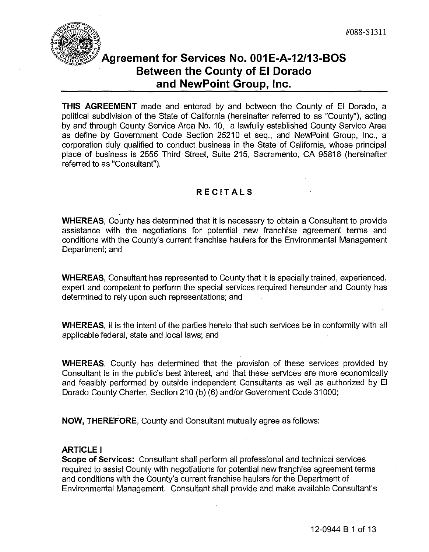#088-S1311



# **Agreement for Services No. 001E-A-12/13-BOS Between the County of EI Dorado and NewPoint Group, Inc.**

**THIS AGREEMENT** made and entered by and between the County of EI Dorado, a political subdivision of the State of California (hereinafter referred to as "County"), acting by and through County Service Area No. 10, a lawfully established County Service Area as define by Government Code Section 25210 et seq., and NewPoint Group, Inc., a corporation duly qualified to conduct business in the State of California, whose principal place of business is 2555 Third Street, Suite 215, Sacramento, CA 95818 (hereinafter referred to as "Consultant").

## **RECITALS**

**WHEREAS,** County has determined that it is necessary to obtain a Consultant to provide assistance with the negotiations for potential new franchise agreement terms and conditions with the County's current franchise haulers for the Environmental Management Department; and Thess is 2555 Third Street, Suite 215, Sacramento, CA 95818 (hereinaft<br>
"Consultant").<br>
RECITALS<br>
County has determined that it is necessary to obtain a Consultant to provie<br>
with the negotiations for potential new franchi

**WHEREAS,** Consultant has represented to County that it is specially trained, experienced, expert and competent to perform the special services required hereunder and County has determined to rely upon such representations; and

**WHEREAS,** it is the intent of the parties hereto that such services be in conformity with all applicable federal, state and local laws; and

**WHEREAS,** County has determined that the provision of these services provided by Consultant is in the public's best interest, and that these services are more economically and feasibly performed by outside independent Consultants as well as authorized by EI Dorado County Charter, Section 210 (b) (6) and/or Government Code 31000;

**NOW, THEREFORE,** County and Consultant mutually agree as follows:

## **ARTICLE I**

**Scope of Services:** Consultant shall perform all professional and technical services required to assist County with negotiations for potential new franchise agreement terms and conditions with the County's current franchise haulers for the Department of Environmental Management. Consultant shall provide and make available Consultant's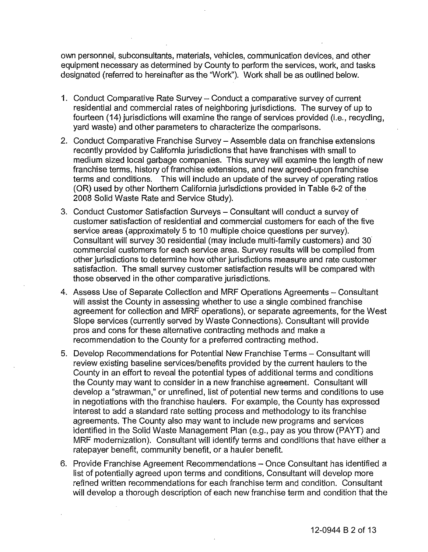own personnel, subconsultants, materials, vehicles, communication devices, and other equipment necessary as determined by County to perform the services, work, and tasks designated (referred to hereinafter as the "Work"). Work shall be as outlined below.

- 1. Conduct Comparative Rate Survey Conduct a comparative survey of current residential and commercial rates of neighboring jurisdictions. The survey of up to fourteen (14) jurisdictions will examine the range of services provided (i.e., recycling, yard waste) and other parameters to characterize the comparisons.
- 2. Conduct Comparative Franchise Survey Assemble data on franchise extensions recently provided by California jurisdictions that have franchises with small to medium sized local garbage companies. This survey will examine the length of new franchise terms, history of franchise extensions, and new agreed-upon franchise terms and conditions. This will include an update of the survey of operating ratios (OR) used by other Northern California jurisdictions provided in Table 6-2 of the 2008 Solid Waste Rate and Service Study). terms and conditions. This will include an update of the survey of operating ratios<br>(OR) used by other Northern California jurisdictions provided in Table 6-2 of the<br>2008 Solid Waste Rate and Service Study).
- 3. Conduct Customer Satisfaction Surveys Consultant will conduct a survey of customer satisfaction of residential and commercial customers for each of the five service areas (approximately 5 to 10 multiple choice questions per survey). Consultant will survey 30 residential (may include multi-family customers) and 30 commercial customers for each service area. Survey results will be compiled from other jurisdictions to determine how other jurisdictions measure and rate customer satisfaction. The small survey customer satisfaction results will be compared with those observed in the other comparative jurisdictions.
- 4. Assess Use of Separate Collection and MRF Operations Agreements Consultant will assist the County in assessing whether to use a single combined franchise agreement for collection and MRF operations), or separate agreements, for the West Slope services (currently served by Waste Connections). Consultant will provide pros and cons for these alternative contracting methods and make a recommendation to the County for a preferred contracting method.
- 5. Develop Recommendations for Potential New Franchise Terms Consultant will review existing baseline services/benefits provided by the current haulers to the County in an effort to reveal the potential types of additional terms and conditions the County may want to consider in a new franchise agreement. Consultant will develop a "strawman," or unrefined, list of potential new terms and conditions to use in negotiations with the franchise haulers. For example, the County has expressed interest to add a standard rate setting process and methodology to its franchise agreements. The County also may want to include new programs and services identified in the Solid Waste Management Plan (e.g., pay as you throw (PAYT) and MRF modernization). Consultant will identify terms and conditions that have either a ratepayer benefit, community benefit, or a hauler benefit. will assist the County in assessing whether to use a single combined fragreement for collection and MRF operations), or separate agreements.<br>Slope services (currently served by Waste Connections). Consultant wil<br>pros and c
- 6. Provide Franchise Agreement Recommendations Once Consultant has identified a list of potentially agreed upon terms and conditions, Consultant will develop more refined written recommendations for each franchise term and condition. Consultant will develop a thorough description of each new franchise term and condition that the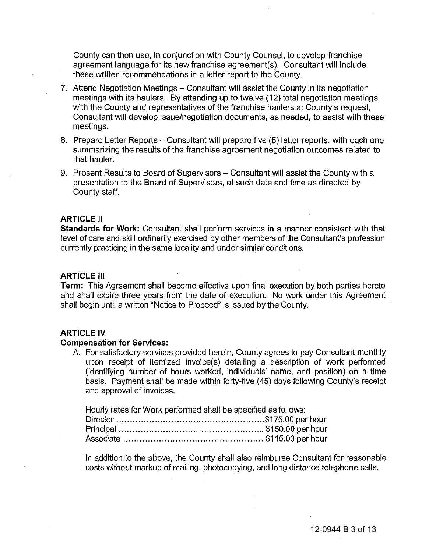County can then use, in conjunction with County Counsel, to develop franchise agreement language for its new franchise agreement(s). Consultant will include these written recommendations in a letter report to the County.

- 7. Attend Negotiation Meetings Consultant will assist the County in its negotiation meetings with its haulers. By attending up to twelve (12) total negotiation meetings with the County and representatives of the franchise haulers at County's request, Consultant will develop issue/negotiation documents, as needed, to assist with these meetings. ten recommendations in a letter report to the Count<br>gotiation Meetings – Consultant will assist the Count<br>with its haulers. By attending up to twelve (12) total<br>county and representatives of the franchise haulers<br>t will de
- 8. Prepare Letter Reports Consultant will prepare five (5) letter reports, with each one summarizing the results of the franchise agreement negotiation outcomes related to that hauler.
- 9. Present Results to Board of Supervisors Consultant will assist the County with a presentation to the Board of Supervisors, at such date and time as directed by County staff.

#### **ARTICLE II**

**Standards for Work:** Consultant shall perform services in a manner consistent with that level of care and skill ordinarily exercised by other members of the Consultant's profession currently practicing in the same locality and under similar conditions.

#### **ARTICLE III**

**Term:** This Agreement shall become effective upon final execution by both parties hereto and shall expire three years from the date of execution. No work under this Agreement shall begin until a written "Notice to Proceed" is issued by the County.

#### **ARTICLE IV**

#### **Compensation for Services:**

A. For satisfactory services provided herein, County agrees to pay Consultant monthly upon receipt of itemized invoice(s) detailing a description of work performed (identifying number of hours worked, individuals' name, and position) on a time basis. Payment shall be made within forty-five (45) days following County's receipt and approval of invoices.

Hourly rates for Work performed shall be specified as follows:

In addition to the above, the County shall also reimburse Consultant for reasonable costs without markup of mailing, photocopying, and long distance telephone calls.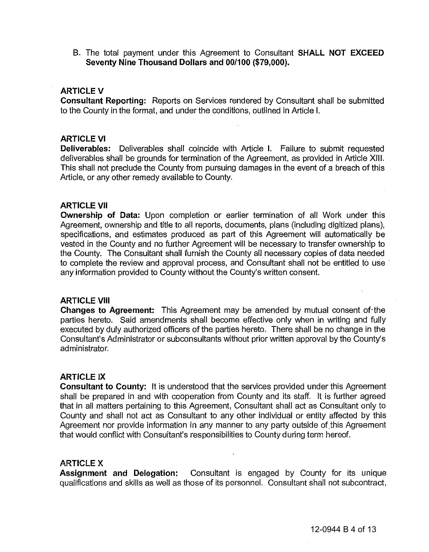B. The total payment under this Agreement to Consultant **SHALL NOT EXCEED Seventy Nine Thousand Dollars and 00/100 (\$79,000).** 

## ARTICLE V

**Consultant Reporting:** Reports on Services rendered by Consultant shall be submitted to the County in the format, and under the conditions, outlined in Article I.

### ARTICLE VI

**Deliverables:** Deliverables shall coincide with Article I. Failure to submit requested deliverables shall be grounds for termination of the Agreement, as provided in Article XIII. This shall not preclude the County from pursuing damages in the event of a breach of this Article, or any other remedy available to County.

#### **ARTICLE VII**

**Ownership of Data:** Upon completion or earlier termination of all Work under this Agreement, ownership and title to all reports, documents, plans (including digitized plans), specifications, and estimates produced as part of this Agreement will automatically be vested in the County and no further Agreement will be necessary to transfer ownership to the County. The Consultant shall furnish the County all necessary copies of data needed to complete the review and approval process, and Consultant shall not be entitled to use  $\blacksquare$ any information provided to County without the County's written consent.

### **ARTICLE VIII**

**Changes to Agreement:** This Agreement may be amended by mutual consent of "the parties hereto. Said amendments shall become effective only when in writing and fully executed by duly authorized officers of the parties hereto. There shall be no change in the Consultant's Administrator or subconsultants without prior written approval by the County's administrator.

#### **ARTICLE IX**

**Consultant to County:** It is understood that the services provided under this Agreement shall be prepared in and with cooperation from County and its staff. It is further agreed that in all matters pertaining to this Agreement, Consultant shall act as Consultant only to County and shall not act as Consultant to any other individual or entity affected by this Agreement nor provide information in any manner to any party outside of this Agreement that would confiict with Consultant's responsibilities to County during term hereof.

## ARTICLE X

**Assignment and Delegation:** Consultant is engaged by County for its unique qualifications and skills as well as those of its personnel. Consultant shall not subcontract,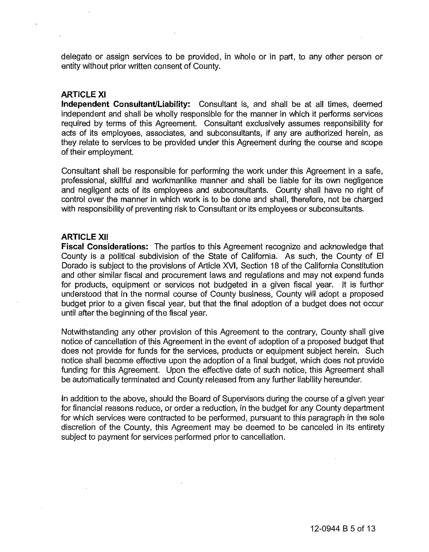delegate or assign services to be provided, in whole or in part, to any other person or entity without prior written consent of County.

## ARTICLE XI

**Independent Consultant/Liability:** Consultant is, and shall be at all times, deemed independent and shall be wholly responsible for the manner in which it performs services required by terms of this Agreement. Consultant exclusively assumes responsibility for acts of its employees, associates, and subconsultants, if any are authorized herein, as they relate to services to be provided under this Agreement during the course and scope of their employment.

Consultant shall be responsible for performing the work under this Agreement in a safe, professional, skillful and workmanlike manner and shall be liable for its own negligence and negligent acts of its employees and subconsultants. County shall have no right of control over the manner in which work is to be done and shall, therefore, not be charged with responsibility of preventing risk to Consultant or its employees or subconsultants.

#### **ARTICLE XII**

**Fiscal Considerations:** The parties to this Agreement recognize and acknowledge that County is a political subdivision of the State of California. As such, the County of **EI**  Dorado is subject to the provisions of Article XVI, Section 18 of the California Constitution and other similar fiscal and procurement laws and regulations and may not expend funds for products, equipment or services not budgeted in a given fiscal year. . It is further understood that in the normal course of County business, County will adopt a proposed budget prior to a given fiscal year, but that the final adoption of a budget does not occur until after the beginning of the fiscal year. negligent acts of its employees and subconsultants. County shall havel of our the manner in which work is to be done and shall, therefore, no<br>responsibility of preventing risk to Consultant or its employees or subcon<br>nespo

Notwithstanding any other provision of this Agreement to the contrary, County shall give notice of cancellation of this Agreement in the event of adoption of a proposed budget that does not provide for funds for the services, products or equipment subject herein. Such notice shall become effective upon the adoption of a final budget, which does not provide funding for this Agreement. Upon the effective date of such notice, this Agreement shall be automatically terminated and County released from any further liability hereunder.

In addition to the above, should the Board of Supervisors during the course of a given year for financial reasons reduce, or order a reduction, in the budget for any County department for which services were contracted to be performed, pursuant to this paragraph in the sole discretion of the County, this Agreement may be deemed to be canceled in its entirety subject to payment for services performed prior to cancellation.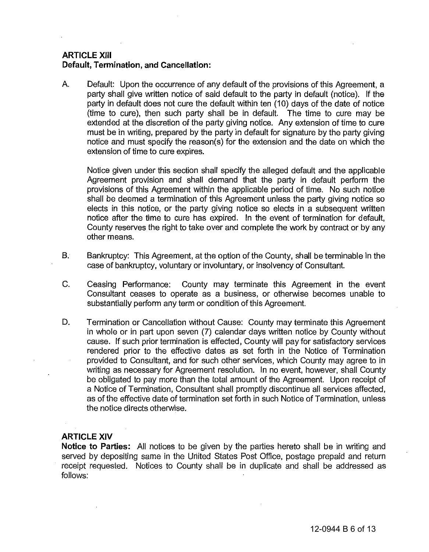## **ARTICLE XIII Default, Termination, and Cancellation:**

A. Default: Upon the occurrence of any default of the provisions of this Agreement, a party shall give written notice of said default to the party in default (notice). If the party in default does not cure the default within ten (10) days of the date of notice (time to cure), then such party shall be in default. The time to cure may be extended at the discretion of the party giving notice. Any extension of time to cure must be in writing, prepared by the party in default for signature by the party giving notice and must specify the reason(s) for the extension and the date on which the extension of time to cure expires.

Notice given under this section shall specify the alleged default and the applicable Agreement provision and shall demand that the party in default perform the provisions of this Agreement within the applicable period of time. No such notice shall be deemed a termination of this Agreement unless the party giving notice so elects in this notice, or the party giving notice so elects in a subsequent written notice after the time to cure has expired. In the event of termination for default, County reserves the right to take over and complete the work by contract or by any other means.

- B. Bankruptcy: This Agreement, at the option of the County, shall be terminable in the case of bankruptcy, voluntary or involuntary, or insolvency of Consultant.
- C. Ceasing Performance: County may terminate this Agreement in the event Consultant ceases to operate as a business, or otherwise becomes unable to substantially perform any term or condition of this Agreement.
- D. Termination or Cancellation without Cause: County may terminate this Agreement in whole or in part upon seven (7) calendar days written notice by County without cause. If such prior termination is effected, County will pay for satisfactory services rendered prior to the effective dates as set forth in the Notice of Termination provided to Consultant, and for such other services, which County may agree to in writing as necessary for Agreement resolution. In no event, however, shall County be obligated to pay more than the total amount of the Agreement. Upon receipt of a Notice of Termination, Consultant shall promptly discontinue all services affected, as of the effective date of termination set forth in such Notice of Termination, unless the notice directs otherwise. elects in this notice, or the party giving notice so elects in a subsequent written notice after the time to cure has expired. In the event of termination for default, County reserves the right to take over and complete th

## ARTICLE XIV

**Notice to** Parties: All notices to be given by the parties hereto shall be in writing and served by depositing same in the United States Post Office, postage prepaid and return receipt requested. Notices to County shall be in duplicate and shall be addressed as follows: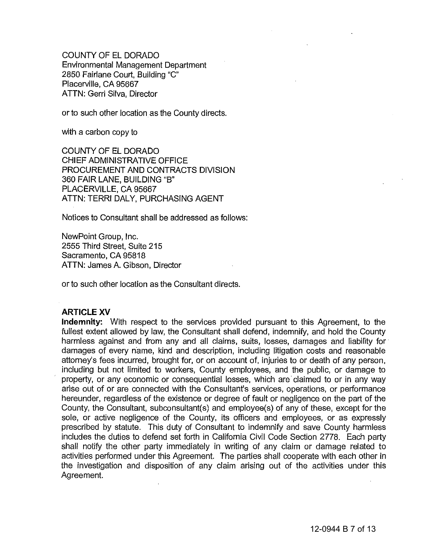COUNTY OF EL DORADO Environmental Management Department 2850 Fairlane Court, Building "C" Placerville, CA 95667 ATTN: Gerri Silva, Director

or to such other location as the County directs.

with a carbon copy to

COUNTY OF EL DORADO CHIEF ADMINISTRATIVE OFFICE PROCUREMENT AND CONTRACTS DIVISION 360 FAIR LANE, BUILDING "B" PLACERVILLE, CA 95667 ATTN: TERRI DALY, PURCHASING AGENT

Notices to Consultant shall be addressed as follows:

NewPoint Group, Inc. 2555 Third Street, Suite 215 Sacramento, CA 95818 ATTN: James A. Gibson, Director

or to such other location as the Consultant directs.

## ARTICLE XV

**Indemnity:** With respect to the services provided pursuant to this Agreement, to the fullest extent allowed by law, the Consultant shall defend, indemnify, and hold the County harmless against and from any and all claims, suits, losses, damages and liability for damages of every name, kind and description, including litigation costs and reasonable attorney's fees incurred, brought for, or on account of, injuries to or death of any person, including but not limited to workers, County employees, and the public, or damage to property, or any economic or consequential losses, which are· claimed to or in any way arise out of or are connected with the Consultant's services, operations, or performance hereunder, regardless of the existence or degree of fault or negligence on the part of the County, the Consultant, subconsultant(s) and employee(s) of any of these, except for the sole, or active negligence of the County, its officers and employees, or as expressly prescribed by statute. This duty of Consultant to indemnify and save County harmless includes the duties to defend set forth in California Civil Code Section 2778. Each party shall notify the other party immediately in writing of any claim or damage related to activities performed under this Agreement. The parties shall cooperate with each other in the investigation and disposition of any claim arising out of the activities under this Agreement. DF EL DORADO<br>
MINISTRATIVE OFFICE<br>
MENT AND CONTRACTS DIVISION<br>
ANE, BUILDING "B"<br>
LLE, CA 95667<br>
RI DALY, PURCHASING AGENT<br>
Consultant shall be addressed as follo<br>
Sroup, Inc.<br>
Street, Suite 215<br>
5, CA 95818<br>
es A. Gibson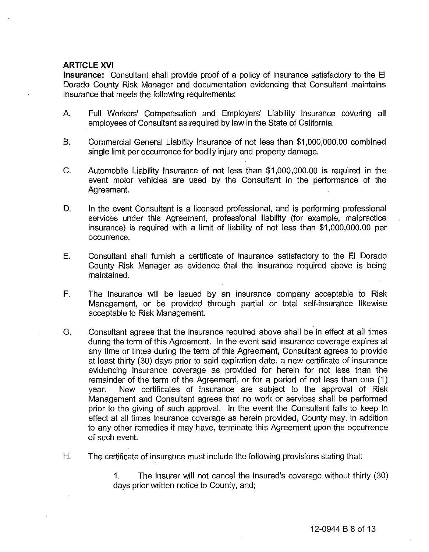## ARTICLE XVI

**Insurance:** Consultant shall provide proof of a policy of insurance satisfactory to the **EI**  Dorado County Risk Manager and documentation evidencing that Consultant maintains insurance that meets the following requirements:

- A. **Full** Workers' Compensation and Employers' Liability Insurance covering all . employees of Consultant as required by law in the State of California.
- B. Commercial General Liability Insurance of not less than \$1,000,000.00 combined single limit per occurrence for bodily injury and property damage.
- C. Automobile Liability Insurance of not less than \$1,000,000.00 is required in the event motor vehicles are used by the Consultant in the performance of the Agreement.
- D. In the event Consultant is a licensed professional, and is performing professional services under this Agreement, professional liability (for example, malpractice insurance) is required with a limit of liability of not less than \$1,000,000.00 per occurrence.
- E. Consultant shall furnish a certificate of insurance satisfactory to the **EI** Dorado County Risk Manager as evidence that the insurance required above is being maintained.
- **F. The** insurance will be issued by an insurance company acceptable to Risk Management, or be provided through partial or total self-insurance likewise acceptable to Risk Management.
- G. Consultant agrees that the insurance required above shall be in effect at all times during the term of this Agreement. **In** the event said insurance coverage expires at any time or times during the term of this Agreement, Consultant agrees to provide at least thirty (30) days prior to said expiration date, a new certificate of insurance evidencing insurance coverage as provided for herein for not less than the remainder of the term of the Agreement, or for a period of not less than one (1) year. New certificates of insurance are subject to the. approval of Risk Management and Consultant agrees that no work or services shall be performed prior to the giving of such approval. **In** the event the Consultant fails to keep in effect at all times insurance coverage as herein provided, County may, in addition to any other remedies it may have, terminate this Agreement upon the occurrence of such event. single limit per occurrence for bodily in<br>Automobile Liability Insurance of not<br>event motor vehicles are used by<br>Agreement.<br>In the event Consultant is a licensed<br>services under this Agreement, pro<br>insurance) is required wi
- H. **The** certificate of insurance must include the following provisions stating that:

1. **The** insurer will not cancel the insured's coverage without thirty (30) days prior written notice to County, and;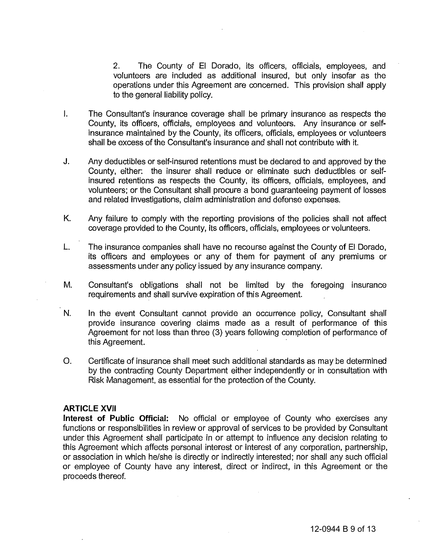2. The County of EI Dorado, its officers, officials, employees, and volunteers are included as additional insured, but only insofar as the operations under this Agreement are concerned. This provision shall apply to the general liability policy.

- I. The Consultant's insurance coverage shall be primary insurance as respects the County, its officers, officials, employees and volunteers. Any insurance or selfinsurance maintained by the County, its officers, officials, employees or volunteers shall be excess of the Consultant's insurance and shall not contribute with it.
- J. Any deductibles or self-insured retentions must be declared to and approved by the County, either: the insurer shall reduce or eliminate such deductibles or selfinsured retentions as respects the County, its officers, officials, employees, and volunteers; or the Consultant shall procure a bond guaranteeing payment of losses and related investigations, claim administration and defense expenses. The Consultant's insurance coverage shall the primary insurance as respects the historace as respects the Consultant's insurance and shall not contribute with it.<br>Insurance maintained by the Countly, its officers, official
- K. Any failure to comply with the reporting provisions of the policies shall not affect coverage provided to the County, its officers, officials, employees or volunteers.
- L. The insurance companies shall have no recourse against the County of EI Dorado, its officers and employees or any of them for payment of any premiums or assessments under any policy issued by any insurance company.
- M. Consultant's obligations shall not be limited by the foregoing insurance requirements and shall survive expiration of this Agreement.
- N. In the event Consultant cannot provide an occurrence policy, Consultant shall provide insurance covering claims made as a result of performance of this Agreement for not less than three (3) years following completion of performance of this Agreement.
- o. Certificate of insurance shall meet such additional standards as may be determined by the contracting County Department either independently or in consultation with Risk Management, as essential for the protection of the County.

#### **ARTICLE XVII**

**Interest of Public Official:** No official or employee of County who exercises any functions or responsibilities in review or approval of services to be provided by Consultant under this Agreement shall participate in or attempt to influence any decision relating to this Agreement which affects personal interest or interest of any corporation, partnership, or association in which he/she is directly or indirectly interested; nor shall any such official or employee of County have any interest, direct or indirect, in this Agreement or the proceeds thereof.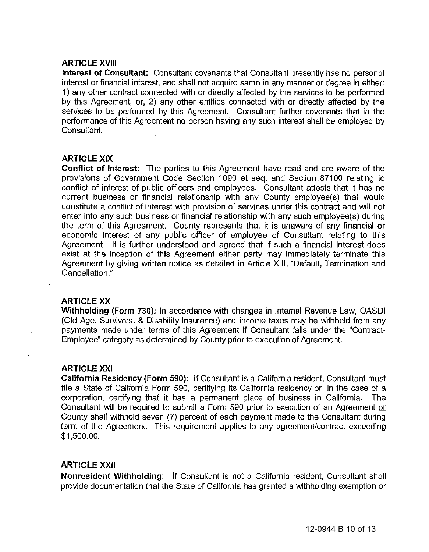#### **ARTICLE XVIII**

**Interest of Consultant:** Consultant covenants that Consultant presently has no personal interest or financial interest, and shall not acquire same in any manner or degree in either: 1) any other contract connected with or directly affected by the services to be performed by this Agreement; or, 2) any other entities connected with or directly affected by the services to be performed by this Agreement. Consultant further covenants that in the performance of this Agreement no person having any such interest shall be employed by Consultant.

## **ARTICLE XIX**

**Conflict of Interest:** The parties to this Agreement have read and are aware of the provisions of Government Code Section 1090 et seq. and Section .87100 relating to conflict of interest of public officers and employees. Consultant attests that it has no current business or financial relationship with any County employee(s) that would constitute a conflict of interest with provision of services under this contract and will not enter into any such business or financial relationship with any such employee(s) during the term of this Agreement. County represents that it is unaware of any financial or economic interest of any public officer of employee of Consultant relating to this Agreement. It is further understood and agreed that if such a financial interest does exist at the inception of this Agreement either party may immediately terminate this Agreement by giving written notice as detailed in Article XIII, "Default, Termination and Cancellation." provisions of Governmert Code Section 1090 et seq. and Section 87100 relating to constitute a conflict of interest with provision of services under his contract and will not constitute a conflict of interest with provision

## ARTICLE XX

**Withholding (Form** 730): In accordance with changes in Internal Revenue Law, OASDI (Old Age, Survivors, & Disability Insurance) and income taxes may be withheld from any payments made under terms of this Agreement if Consultant falls under the "Contract-Employee" category as determined by County prior to execution of Agreement.

#### ARTICLE XXI

**California Residency (Form 590):** If Consultant is a California resident, Consultant must file a State of California Form 590, certifying its California residency or, in the case of a corporation, certifying that it has a permanent place of business in California. The Consultant will be required to submit a Form 590 prior to execution of an Agreement or County shall withhold seven (7) percent of each payment made to the Consultant during term of the Agreement. This requirement applies to any agreement/contract exceeding \$1,500.00.

#### **ARTICLE XXII**

**Nonresident Withholding:** If Consultant is not a California resident, Consultant shall provide documentation that the State of California has granted a withholding exemption or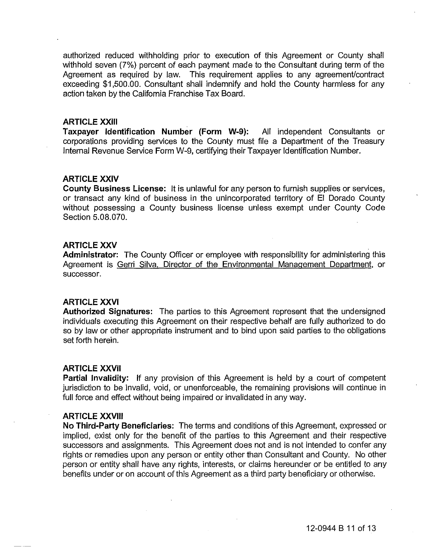authorized reduced withholding prior to execution of this Agreement or County shall withhold seven (7%) percent of each payment made to the Consultant during term of the Agreement as required by law. This requirement applies to any agreement/contract exceeding \$1,500.00. Consultant shall indemnify and hold the County harmless for any action taken by the California Franchise Tax Board.

## **ARTICLE XXIII**

**Taxpayer Identification Number (Form W.9):** All independent Consultants or corporations providing services to the County must file a Department of the Treasury Internal Revenue Service Form W-9, certifying their Taxpayer Identification Number.

## **ARTICLE XXIV**

**County Business License:** It is unlawful for any person to furnish supplies or services, or transact any kind of business in the unincorporated territory of **EI** Dorado County without possessing a County business license unless exempt under County Code Section 5.08.070.

#### ARTICLE XXV

**Administrator: The** County Officer or employee with responsibility for administering this Agreement is Gerri Silva. Director of the Environmental Management Department, or successor.

#### **ARTICLE XXVI**

**Authorized Signatures:** The parties to this Agreement represent that the undersigned individuals executing this Agreement on their respective behalf are fully authorized to do so by law or other appropriate instrument and to bind upon said parties to the obligations set forth herein.

#### **ARTICLE XXVII**

**Partial Invalidity:** If any provision of this Agreement is held by a court of competent jurisdiction to be invalid, void, or unenforceable, the remaining provisions will continue in full force and effect without being impaired or invalidated in any way.

## **ARTICLE XXVIII**

**No Third·Party Beneficiaries:** The terms and conditions of this Agreement, expressed or implied, exist only for the benefit of the parties to this Agreement and their respective successors and assignments. This Agreement does not and is not intended to confer any rights or remedies upon any person or entity other than Consultant and County. No other person or entity shall have any rights, interests, or claims hereunder or be entitled to any benefits under or on account of this Agreement as a third party beneficiary or otherwise. Internal Revenue Service Form W-9, certifying their Taxpayer identification Number.<br> **ARTICLE XXIV**<br>
County Business License: It is unlawful for any person to furnish supplies or services,<br>
corting any kind of business in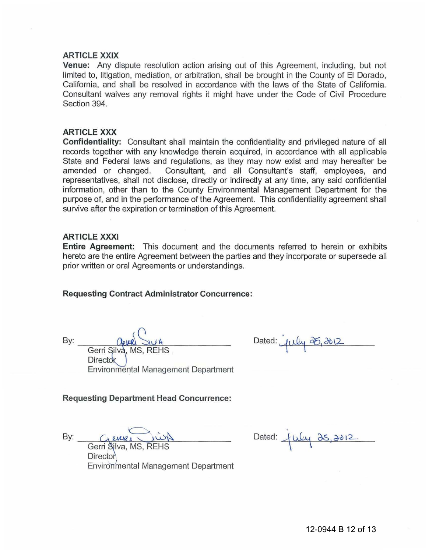#### **ARTICLE XXIX ARTICLE**

**Venue:** Any dispute resolution action arising out of this Agreement, including, but not **Venue:** Any dispute resolution action arising out of this Agreement, including, but not<br>limited to, litigation, mediation, or arbitration, shall be brought in the County of El Dorado, California, and shall be resolved in accordance with the laws of the State of California. California, and shall be resolved in accordance with the laws of the State of California.<br>Consultant waives any removal rights it might have under the Code of Civil Procedure Section 394.

#### **ARTICLE XXX ARTICLE**

**Confidentiality:** Consultant shall maintain the confidentiality and privileged nature of all records together with any knowledge therein acquired, in accordance with all applicable State and Federal laws and regulations, as they may now exist and may hereafter be amended or changed. Consultant, and all Consultant's staff, employees, and representatives, shall not disclose, directly or indirectly at any time, any said confidential information, other than to the County Environmental Management Department for the purpose of, and in the performance of the Agreement. This confidentiality agreement shall survive after the expiration or termination of this Agreement. records together with any knowledge therein acquired, in accordance with all applicat<br>State and Federal laws and regulations, as they may now exist and may hereafter lamended or changed. Consultant, and all Consultant's st

#### **ARTICLE XXXI**

Director

**Entire Agreement:** This document and the documents referred to herein or exhibits hereto are the entire Agreement between the parties and they incorporate or supersede all prior written or oral Agreements or understandings.

#### **Requesting Contract Administrator Concurrence:**

 $\frac{\alpha_{\text{e}}}{\beta}$ :  $\frac{\alpha_{\text{e}}}{\beta}$   $\frac{\alpha_{\text{e}}}{\beta}$   $\frac{\alpha_{\text{e}}}{\beta}$ 

Dated:  $\mu\mu\phi$  25, 2012

**Requesting Department Head Concurrence: Head** 

 $By:$   $Q$ enze  $N$  $\bigcirc$  .  $\mathsf{By:}\n \begin{array}{c}\n \overline{\mathsf{G}}\mathsf{curl}\n \overline{\mathsf{G}}\mathsf{curl}\n \end{array}$ 

Gerri Silva, MS, REHS  $DII$  ector Environmental Management Department Created:  $\frac{C_1 \cup C_2 \cup C_3}{C_1 \cup C_2}$  Dated:  $\frac{C_1 \cup C_2}{C_2 \cup C_3}$ <br>Gerri Silva, MS, REHS<br>Environmental Management Department

Environmental Management Department Environmental

 $\frac{1}{\sqrt{2}}$